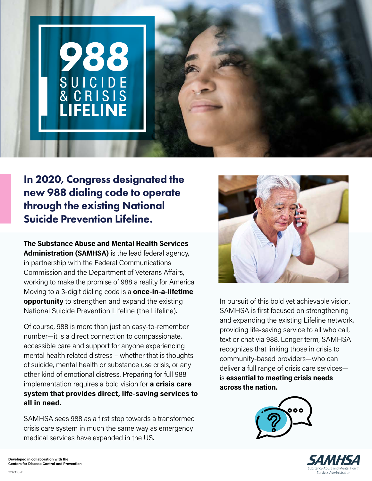

In 2020, Congress designated the new 988 dialing code to operate through the existing National Suicide Prevention Lifeline.

**The Substance Abuse and Mental Health Services Administration (SAMHSA)** is the lead federal agency, in partnership with the Federal Communications Commission and the Department of Veterans Affairs, working to make the promise of 988 a reality for America. Moving to a 3-digit dialing code is a **once-in-a-lifetime opportunity** to strengthen and expand the existing National Suicide Prevention Lifeline (the Lifeline).

Of course, 988 is more than just an easy-to-remember number—it is a direct connection to compassionate, accessible care and support for anyone experiencing mental health related distress – whether that is thoughts of suicide, mental health or substance use crisis, or any other kind of emotional distress. Preparing for full 988 implementation requires a bold vision for **a crisis care system that provides direct, life-saving services to all in need.**

SAMHSA sees 988 as a first step towards a transformed crisis care system in much the same way as emergency medical services have expanded in the US.



In pursuit of this bold yet achievable vision, SAMHSA is first focused on strengthening and expanding the existing Lifeline network, providing life-saving service to all who call, text or chat via 988. Longer term, SAMHSA recognizes that linking those in crisis to community-based providers—who can deliver a full range of crisis care services is **essential to meeting crisis needs across the nation.**





326316-D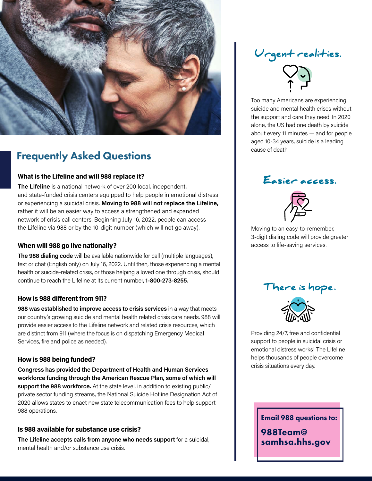

## Frequently Asked Questions

#### **What is the Lifeline and will 988 replace it?**

**The Lifeline** is a national network of over 200 local, independent, and state-funded crisis centers equipped to help people in emotional distress or experiencing a suicidal crisis. **Moving to 988 will not replace the Lifeline,** rather it will be an easier way to access a strengthened and expanded network of crisis call centers. Beginning July 16, 2022, people can access the Lifeline via 988 or by the 10-digit number (which will not go away).

#### **When will 988 go live nationally?**

**The 988 dialing code** will be available nationwide for call (multiple languages), text or chat (English only) on July 16, 2022. Until then, those experiencing a mental health or suicide-related crisis, or those helping a loved one through crisis, should continue to reach the Lifeline at its current number, **1-800-273-8255**.

#### **How is 988 different from 911?**

**988 was established to improve access to crisis services** in a way that meets our country's growing suicide and mental health related crisis care needs. 988 will provide easier access to the Lifeline network and related crisis resources, which are distinct from 911 (where the focus is on dispatching Emergency Medical Services, fire and police as needed).

#### **How is 988 being funded?**

**Congress has provided the Department of Health and Human Services workforce funding through the American Rescue Plan, some of which will support the 988 workforce.** At the state level, in addition to existing public/ private sector funding streams, the National Suicide Hotline Designation Act of 2020 allows states to enact new state telecommunication fees to help support 988 operations.

#### **Is 988 available for substance use crisis?**

**The Lifeline accepts calls from anyone who needs support** for a suicidal, mental health and/or substance use crisis.

# Urgent realities.



Too many Americans are experiencing suicide and mental health crises without the support and care they need. In 2020 alone, the US had one death by suicide about every 11 minutes — and for people aged 10-34 years, suicide is a leading cause of death.

### Easier access.



Moving to an easy-to-remember, 3-digit dialing code will provide greater access to life-saving services.





Providing 24/7, free and confidential support to people in suicidal crisis or emotional distress works! The Lifeline helps thousands of people overcome crisis situations every day.

Email 988 questions to:

[988Team@](mailto:988Team%40samhsa.hhs.gov?subject=988%20Questions) [samhsa.hhs.gov](mailto:988Team%40samhsa.hhs.gov?subject=988%20Questions)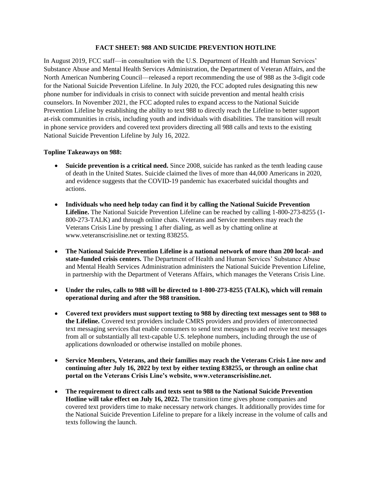#### **FACT SHEET: 988 AND SUICIDE PREVENTION HOTLINE**

In August 2019, FCC staff—in consultation with the U.S. Department of Health and Human Services' Substance Abuse and Mental Health Services Administration, the Department of Veteran Affairs, and the North American Numbering Council—released a report recommending the use of 988 as the 3-digit code for the National Suicide Prevention Lifeline. In July 2020, the FCC adopted rules designating this new phone number for individuals in crisis to connect with suicide prevention and mental health crisis counselors. In November 2021, the FCC adopted rules to expand access to the National Suicide Prevention Lifeline by establishing the ability to text 988 to directly reach the Lifeline to better support at-risk communities in crisis, including youth and individuals with disabilities. The transition will result in phone service providers and covered text providers directing all 988 calls and texts to the existing National Suicide Prevention Lifeline by July 16, 2022.

#### **Topline Takeaways on 988:**

- **Suicide prevention is a critical need.** Since 2008, suicide has ranked as the tenth leading cause of death in the United States. Suicide claimed the lives of more than 44,000 Americans in 2020, and evidence suggests that the COVID-19 pandemic has exacerbated suicidal thoughts and actions.
- **Individuals who need help today can find it by calling the National Suicide Prevention Lifeline.** The National Suicide Prevention Lifeline can be reached by calling 1-800-273-8255 (1- 800-273-TALK) and through online chats. Veterans and Service members may reach the Veterans Crisis Line by pressing 1 after dialing, as well as by chatting online at www.veteranscrisisline.net or texting 838255.
- **The National Suicide Prevention Lifeline is a national network of more than 200 local- and state-funded crisis centers.** The Department of Health and Human Services' Substance Abuse and Mental Health Services Administration administers the National Suicide Prevention Lifeline, in partnership with the Department of Veterans Affairs, which manages the Veterans Crisis Line.
- **Under the rules, calls to 988 will be directed to 1-800-273-8255 (TALK), which will remain operational during and after the 988 transition.**
- **Covered text providers must support texting to 988 by directing text messages sent to 988 to the Lifeline.** Covered text providers include CMRS providers and providers of interconnected text messaging services that enable consumers to send text messages to and receive text messages from all or substantially all text-capable U.S. telephone numbers, including through the use of applications downloaded or otherwise installed on mobile phones.
- **Service Members, Veterans, and their families may reach the Veterans Crisis Line now and continuing after July 16, 2022 by text by either texting 838255, or through an online chat portal on the Veterans Crisis Line's website, www.veteranscrisisline.net.**
- **The requirement to direct calls and texts sent to 988 to the National Suicide Prevention Hotline will take effect on July 16, 2022.** The transition time gives phone companies and covered text providers time to make necessary network changes. It additionally provides time for the National Suicide Prevention Lifeline to prepare for a likely increase in the volume of calls and texts following the launch.